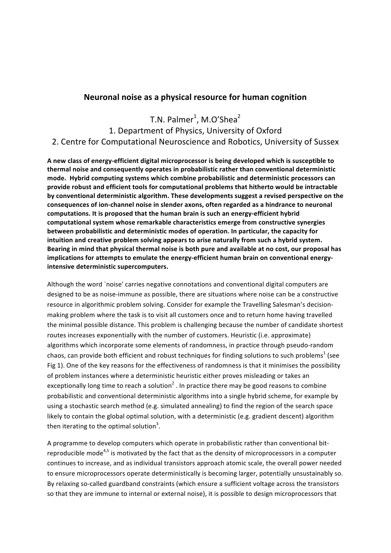### **Neuronal noise as a physical resource for human cognition**

T.N. Palmer<sup>1</sup>, M.O'Shea<sup>2</sup>

# 1. Department of Physics, University of Oxford 2. Centre for Computational Neuroscience and Robotics, University of Sussex

A new class of energy-efficient digital microprocessor is being developed which is susceptible to **thermal noise and consequently operates in probabilistic rather than conventional deterministic** mode. Hybrid computing systems which combine probabilistic and deterministic processors can provide robust and efficient tools for computational problems that hitherto would be intractable by conventional deterministic algorithm. These developments suggest a revised perspective on the consequences of ion-channel noise in slender axons, often regarded as a hindrance to neuronal computations. It is proposed that the human brain is such an energy-efficient hybrid computational system whose remarkable characteristics emerge from constructive synergies **between probabilistic and deterministic modes of operation. In particular, the capacity for** intuition and creative problem solving appears to arise naturally from such a hybrid system. Bearing in mind that physical thermal noise is both pure and available at no cost, our proposal has implications for attempts to emulate the energy-efficient human brain on conventional energy**intensive deterministic supercomputers.**

Although the word `noise' carries negative connotations and conventional digital computers are designed to be as noise-immune as possible, there are situations where noise can be a constructive resource in algorithmic problem solving. Consider for example the Travelling Salesman's decisionmaking problem where the task is to visit all customers once and to return home having travelled the minimal possible distance. This problem is challenging because the number of candidate shortest routes increases exponentially with the number of customers. Heuristic (i.e. approximate) algorithms which incorporate some elements of randomness, in practice through pseudo-random chaos, can provide both efficient and robust techniques for finding solutions to such problems<sup>1</sup> (see Fig 1). One of the key reasons for the effectiveness of randomness is that it minimises the possibility of problem instances where a deterministic heuristic either proves misleading or takes an exceptionally long time to reach a solution<sup>2</sup>. In practice there may be good reasons to combine probabilistic and conventional deterministic algorithms into a single hybrid scheme, for example by using a stochastic search method (e.g. simulated annealing) to find the region of the search space likely to contain the global optimal solution, with a deterministic (e.g. gradient descent) algorithm then iterating to the optimal solution<sup>3</sup>.

A programme to develop computers which operate in probabilistic rather than conventional bitreproducible mode<sup>4,5</sup> is motivated by the fact that as the density of microprocessors in a computer continues to increase, and as individual transistors approach atomic scale, the overall power needed to ensure microprocessors operate deterministically is becoming larger, potentially unsustainably so. By relaxing so-called guardband constraints (which ensure a sufficient voltage across the transistors so that they are immune to internal or external noise), it is possible to design microprocessors that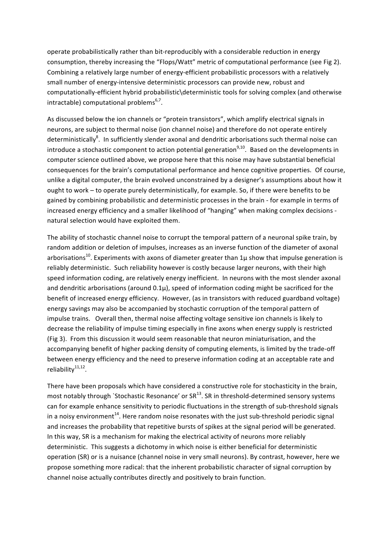operate probabilistically rather than bit-reproducibly with a considerable reduction in energy consumption, thereby increasing the "Flops/Watt" metric of computational performance (see Fig 2). Combining a relatively large number of energy-efficient probabilistic processors with a relatively small number of energy-intensive deterministic processors can provide new, robust and computationally-efficient hybrid probabilistic\deterministic tools for solving complex (and otherwise  $intractable)$  computational problems<sup>6,7</sup>.

As discussed below the ion channels or "protein transistors", which amplify electrical signals in neurons, are subject to thermal noise (ion channel noise) and therefore do not operate entirely deterministically<sup>8</sup>. In sufficiently slender axonal and dendritic arborisations such thermal noise can introduce a stochastic component to action potential generation<sup>9,10</sup>. Based on the developments in computer science outlined above, we propose here that this noise may have substantial beneficial consequences for the brain's computational performance and hence cognitive properties. Of course, unlike a digital computer, the brain evolved unconstrained by a designer's assumptions about how it ought to work – to operate purely deterministically, for example. So, if there were benefits to be gained by combining probabilistic and deterministic processes in the brain - for example in terms of increased energy efficiency and a smaller likelihood of "hanging" when making complex decisions natural selection would have exploited them.

The ability of stochastic channel noise to corrupt the temporal pattern of a neuronal spike train, by random addition or deletion of impulses, increases as an inverse function of the diameter of axonal arborisations<sup>10</sup>. Experiments with axons of diameter greater than  $1\mu$  show that impulse generation is reliably deterministic. Such reliability however is costly because larger neurons, with their high speed information coding, are relatively energy inefficient. In neurons with the most slender axonal and dendritic arborisations (around  $0.1\mu$ ), speed of information coding might be sacrificed for the benefit of increased energy efficiency. However, (as in transistors with reduced guardband voltage) energy savings may also be accompanied by stochastic corruption of the temporal pattern of impulse trains. Overall then, thermal noise affecting voltage sensitive ion channels is likely to decrease the reliability of impulse timing especially in fine axons when energy supply is restricted (Fig 3). From this discussion it would seem reasonable that neuron miniaturisation, and the accompanying benefit of higher packing density of computing elements, is limited by the trade-off between energy efficiency and the need to preserve information coding at an acceptable rate and reliability $11,12$ .

There have been proposals which have considered a constructive role for stochasticity in the brain, most notably through `Stochastic Resonance' or  $SR^{13}$ . SR in threshold-determined sensory systems can for example enhance sensitivity to periodic fluctuations in the strength of sub-threshold signals in a noisy environment<sup>14</sup>. Here random noise resonates with the just sub-threshold periodic signal and increases the probability that repetitive bursts of spikes at the signal period will be generated. In this way, SR is a mechanism for making the electrical activity of neurons more reliably deterministic. This suggests a dichotomy in which noise is either beneficial for deterministic operation (SR) or is a nuisance (channel noise in very small neurons). By contrast, however, here we propose something more radical: that the inherent probabilistic character of signal corruption by channel noise actually contributes directly and positively to brain function.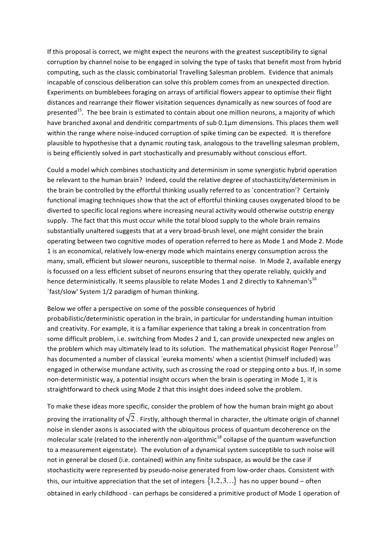If this proposal is correct, we might expect the neurons with the greatest susceptibility to signal corruption by channel noise to be engaged in solving the type of tasks that benefit most from hybrid computing, such as the classic combinatorial Travelling Salesman problem. Evidence that animals incapable of conscious deliberation can solve this problem comes from an unexpected direction. Experiments on bumblebees foraging on arrays of artificial flowers appear to optimise their flight distances and rearrange their flower visitation sequences dynamically as new sources of food are presented<sup>15</sup>. The bee brain is estimated to contain about one million neurons, a majority of which have branched axonal and dendritic compartments of sub 0.1um dimensions. This places them well within the range where noise-induced corruption of spike timing can be expected. It is therefore plausible to hypothesise that a dynamic routing task, analogous to the travelling salesman problem, is being efficiently solved in part stochastically and presumably without conscious effort.

Could a model which combines stochasticity and determinism in some synergistic hybrid operation be relevant to the human brain? Indeed, could the relative degree of stochasticity/determinism in the brain be controlled by the effortful thinking usually referred to as `concentration'? Certainly functional imaging techniques show that the act of effortful thinking causes oxygenated blood to be diverted to specific local regions where increasing neural activity would otherwise outstrip energy supply. The fact that this must occur while the total blood supply to the whole brain remains substantially unaltered suggests that at a very broad-brush level, one might consider the brain operating between two cognitive modes of operation referred to here as Mode 1 and Mode 2. Mode 1 is an economical, relatively low-energy mode which maintains energy consumption across the many, small, efficient but slower neurons, susceptible to thermal noise. In Mode 2, available energy is focussed on a less efficient subset of neurons ensuring that they operate reliably, quickly and hence deterministically. It seems plausible to relate Modes 1 and 2 directly to Kahneman's<sup>16</sup> `fast/slow' System 1/2 paradigm of human thinking.

Below we offer a perspective on some of the possible consequences of hybrid probabilistic/deterministic operation in the brain, in particular for understanding human intuition and creativity. For example, it is a familiar experience that taking a break in concentration from some difficult problem, i.e. switching from Modes 2 and 1, can provide unexpected new angles on the problem which may ultimately lead to its solution. The mathematical physicist Roger Penrose<sup>17</sup> has documented a number of classical `eureka moments' when a scientist (himself included) was engaged in otherwise mundane activity, such as crossing the road or stepping onto a bus. If, in some non-deterministic way, a potential insight occurs when the brain is operating in Mode 1, it is straightforward to check using Mode 2 that this insight does indeed solve the problem.

To make these ideas more specific, consider the problem of how the human brain might go about proving the irrationality of  $\sqrt{2}$  . Firstly, although thermal in character, the ultimate origin of channel noise in slender axons is associated with the ubiquitous process of quantum decoherence on the molecular scale (related to the inherently non-algorithmic<sup>18</sup> collapse of the quantum wavefunction to a measurement eigenstate). The evolution of a dynamical system susceptible to such noise will not in general be closed (i.e. contained) within any finite subspace, as would be the case if stochasticity were represented by pseudo-noise generated from low-order chaos. Consistent with this, our intuitive appreciation that the set of integers  $\{1,2,3...\}$  has no upper bound – often obtained in early childhood - can perhaps be considered a primitive product of Mode 1 operation of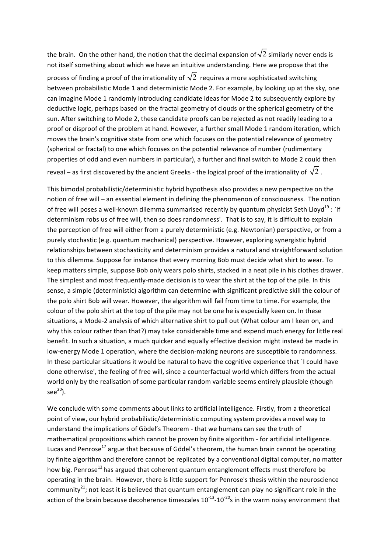the brain. On the other hand, the notion that the decimal expansion of  $\sqrt{2}$  similarly never ends is not itself something about which we have an intuitive understanding. Here we propose that the process of finding a proof of the irrationality of  $\sqrt{2}$  requires a more sophisticated switching between probabilistic Mode 1 and deterministic Mode 2. For example, by looking up at the sky, one can imagine Mode 1 randomly introducing candidate ideas for Mode 2 to subsequently explore by deductive logic, perhaps based on the fractal geometry of clouds or the spherical geometry of the sun. After switching to Mode 2, these candidate proofs can be rejected as not readily leading to a proof or disproof of the problem at hand. However, a further small Mode 1 random iteration, which moves the brain's cognitive state from one which focuses on the potential relevance of geometry (spherical or fractal) to one which focuses on the potential relevance of number (rudimentary properties of odd and even numbers in particular), a further and final switch to Mode 2 could then reveal – as first discovered by the ancient Greeks - the logical proof of the irrationality of  $\sqrt{2}$  .

This bimodal probabilistic/deterministic hybrid hypothesis also provides a new perspective on the notion of free will – an essential element in defining the phenomenon of consciousness. The notion of free will poses a well-known dilemma summarised recently by quantum physicist Seth Lloyd<sup>19</sup> : `If determinism robs us of free will, then so does randomness'. That is to say, it is difficult to explain the perception of free will either from a purely deterministic (e.g. Newtonian) perspective, or from a purely stochastic (e.g. quantum mechanical) perspective. However, exploring synergistic hybrid relationships between stochasticity and determinism provides a natural and straightforward solution to this dilemma. Suppose for instance that every morning Bob must decide what shirt to wear. To keep matters simple, suppose Bob only wears polo shirts, stacked in a neat pile in his clothes drawer. The simplest and most frequently-made decision is to wear the shirt at the top of the pile. In this sense, a simple (deterministic) algorithm can determine with significant predictive skill the colour of the polo shirt Bob will wear. However, the algorithm will fail from time to time. For example, the colour of the polo shirt at the top of the pile may not be one he is especially keen on. In these situations, a Mode-2 analysis of which alternative shirt to pull out (What colour am I keen on, and why this colour rather than that?) may take considerable time and expend much energy for little real benefit. In such a situation, a much quicker and equally effective decision might instead be made in low-energy Mode 1 operation, where the decision-making neurons are susceptible to randomness. In these particular situations it would be natural to have the cognitive experience that `I could have done otherwise', the feeling of free will, since a counterfactual world which differs from the actual world only by the realisation of some particular random variable seems entirely plausible (though  $see<sup>20</sup>$ ).

We conclude with some comments about links to artificial intelligence. Firstly, from a theoretical point of view, our hybrid probabilistic/deterministic computing system provides a novel way to understand the implications of Gödel's Theorem - that we humans can see the truth of mathematical propositions which cannot be proven by finite algorithm - for artificial intelligence. Lucas and Penrose<sup>17</sup> argue that because of Gödel's theorem, the human brain cannot be operating by finite algorithm and therefore cannot be replicated by a conventional digital computer, no matter how big. Penrose<sup>12</sup> has argued that coherent quantum entanglement effects must therefore be operating in the brain. However, there is little support for Penrose's thesis within the neuroscience community<sup>21</sup>; not least it is believed that quantum entanglement can play no significant role in the action of the brain because decoherence timescales  $10^{-13}$ - $10^{-20}$ s in the warm noisy environment that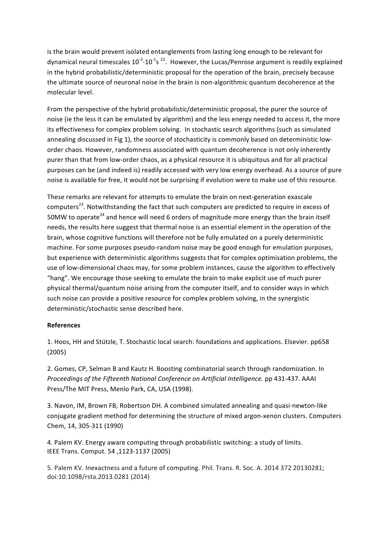is the brain would prevent isolated entanglements from lasting long enough to be relevant for dynamical neural timescales  $10^{-3}$ -10<sup>-1</sup>s<sup>22</sup>. However, the Lucas/Penrose argument is readily explained in the hybrid probabilistic/deterministic proposal for the operation of the brain, precisely because the ultimate source of neuronal noise in the brain is non-algorithmic quantum decoherence at the molecular level.

From the perspective of the hybrid probabilistic/deterministic proposal, the purer the source of noise (ie the less it can be emulated by algorithm) and the less energy needed to access it, the more its effectiveness for complex problem solving. In stochastic search algorithms (such as simulated annealing discussed in Fig 1), the source of stochasticity is commonly based on deterministic loworder chaos. However, randomness associated with quantum decoherence is not only inherently purer than that from low-order chaos, as a physical resource it is ubiquitous and for all practical purposes can be (and indeed is) readily accessed with very low energy overhead. As a source of pure noise is available for free, it would not be surprising if evolution were to make use of this resource.

These remarks are relevant for attempts to emulate the brain on next-generation exascale computers<sup>23</sup>. Notwithstanding the fact that such computers are predicted to require in excess of 50MW to operate<sup>24</sup> and hence will need 6 orders of magnitude more energy than the brain itself needs, the results here suggest that thermal noise is an essential element in the operation of the brain, whose cognitive functions will therefore not be fully emulated on a purely deterministic machine. For some purposes pseudo-random noise may be good enough for emulation purposes, but experience with deterministic algorithms suggests that for complex optimisation problems, the use of low-dimensional chaos may, for some problem instances, cause the algorithm to effectively "hang". We encourage those seeking to emulate the brain to make explicit use of much purer physical thermal/quantum noise arising from the computer itself, and to consider ways in which such noise can provide a positive resource for complex problem solving, in the synergistic deterministic/stochastic sense described here.

### **References**

1. Hoos, HH and Stützle, T. Stochastic local search: foundations and applications. Elsevier. pp658 (2005)

2. Gomes, CP, Selman B and Kautz H. Boosting combinatorial search through randomization. In *Proceedings of the Fifteenth National Conference on Artificial Intelligence.* pp 431-437. AAAI Press/The MIT Press, Menlo Park, CA, USA (1998).

3. Navon, IM, Brown FB, Robertson DH. A combined simulated annealing and quasi-newton-like conjugate gradient method for determining the structure of mixed argon-xenon clusters. Computers Chem, 14, 305-311 (1990)

4. Palem KV. Energy aware computing through probabilistic switching: a study of limits. IEEE Trans. Comput. 54 ,1123-1137 (2005)

5. Palem KV. Inexactness and a future of computing. Phil. Trans. R. Soc. A. 2014 372 20130281; doi:10.1098/rsta.2013.0281 (2014)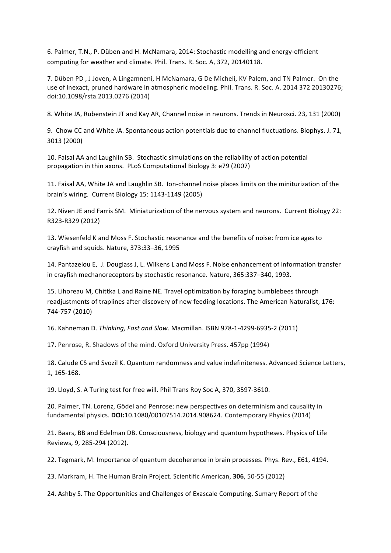6. Palmer, T.N., P. Düben and H. McNamara, 2014: Stochastic modelling and energy-efficient computing for weather and climate. Phil. Trans. R. Soc. A, 372, 20140118.

7. Düben PD, J Joven, A Lingamneni, H McNamara, G De Micheli, KV Palem, and TN Palmer. On the use of inexact, pruned hardware in atmospheric modeling. Phil. Trans. R. Soc. A. 2014 372 20130276; doi:10.1098/rsta.2013.0276 (2014)

8. White JA, Rubenstein JT and Kay AR, Channel noise in neurons. Trends in Neurosci. 23, 131 (2000)

9. Chow CC and White JA. Spontaneous action potentials due to channel fluctuations. Biophys. J. 71, 3013 (2000)

10. Faisal AA and Laughlin SB. Stochastic simulations on the reliability of action potential propagation in thin axons. PLoS Computational Biology 3: e79 (2007)

11. Faisal AA, White JA and Laughlin SB. Ion-channel noise places limits on the miniturization of the brain's wiring. Current Biology 15: 1143-1149 (2005)

12. Niven JE and Farris SM. Miniaturization of the nervous system and neurons. Current Biology 22: R323-R329 (2012)

13. Wiesenfeld K and Moss F. Stochastic resonance and the benefits of noise: from ice ages to crayfish and squids. Nature, 373:33-36, 1995

14. Pantazelou E, J. Douglass J, L. Wilkens L and Moss F. Noise enhancement of information transfer in crayfish mechanoreceptors by stochastic resonance. Nature, 365:337-340, 1993.

15. Lihoreau M, Chittka L and Raine NE. Travel optimization by foraging bumblebees through readjustments of traplines after discovery of new feeding locations. The American Naturalist, 176: 744-757 (2010)

16. Kahneman D. *Thinking, Fast and Slow*. Macmillan. ISBN 978-1-4299-6935-2 (2011)

17. Penrose, R. Shadows of the mind. Oxford University Press. 457pp (1994)

18. Calude CS and Svozil K. Quantum randomness and value indefiniteness. Advanced Science Letters, 1, 165-168. 

19. Lloyd, S. A Turing test for free will. Phil Trans Roy Soc A, 370, 3597-3610.

20. Palmer, TN. Lorenz, Gödel and Penrose: new perspectives on determinism and causality in fundamental physics. **DOI:**10.1080/00107514.2014.908624. Contemporary Physics (2014) 

21. Baars, BB and Edelman DB. Consciousness, biology and quantum hypotheses. Physics of Life Reviews, 9, 285-294 (2012).

22. Tegmark, M. Importance of quantum decoherence in brain processes. Phys. Rev., E61, 4194.

23. Markram, H. The Human Brain Project. Scientific American, **306**, 50-55 (2012)

24. Ashby S. The Opportunities and Challenges of Exascale Computing. Sumary Report of the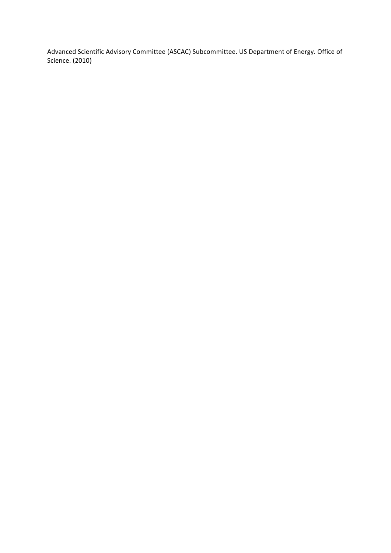Advanced Scientific Advisory Committee (ASCAC) Subcommittee. US Department of Energy. Office of Science. (2010)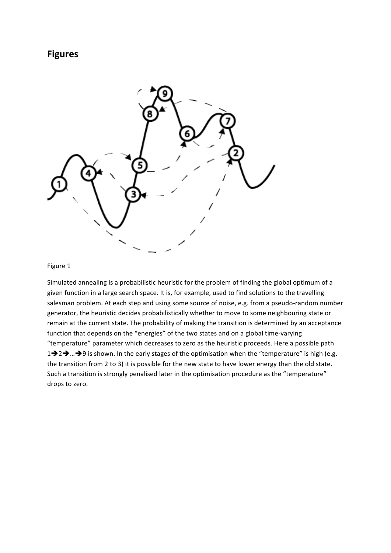## **Figures**



#### Figure 1

Simulated annealing is a probabilistic heuristic for the problem of finding the global optimum of a given function in a large search space. It is, for example, used to find solutions to the travelling salesman problem. At each step and using some source of noise, e.g. from a pseudo-random number generator, the heuristic decides probabilistically whether to move to some neighbouring state or remain at the current state. The probability of making the transition is determined by an acceptance function that depends on the "energies" of the two states and on a global time-varying "temperature" parameter which decreases to zero as the heuristic proceeds. Here a possible path 1 $\rightarrow$  2 $\rightarrow$  ... $\rightarrow$  9 is shown. In the early stages of the optimisation when the "temperature" is high (e.g. the transition from 2 to 3) it is possible for the new state to have lower energy than the old state. Such a transition is strongly penalised later in the optimisation procedure as the "temperature" drops to zero.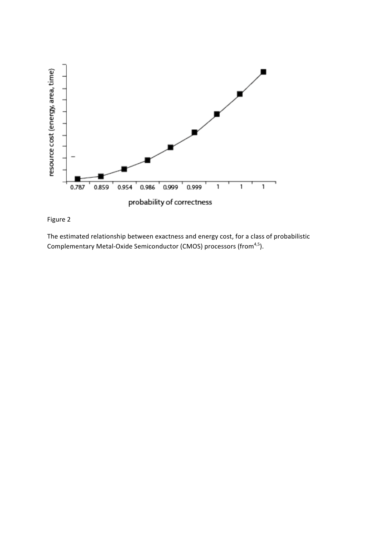



The estimated relationship between exactness and energy cost, for a class of probabilistic Complementary Metal-Oxide Semiconductor (CMOS) processors (from<sup>4,5</sup>).